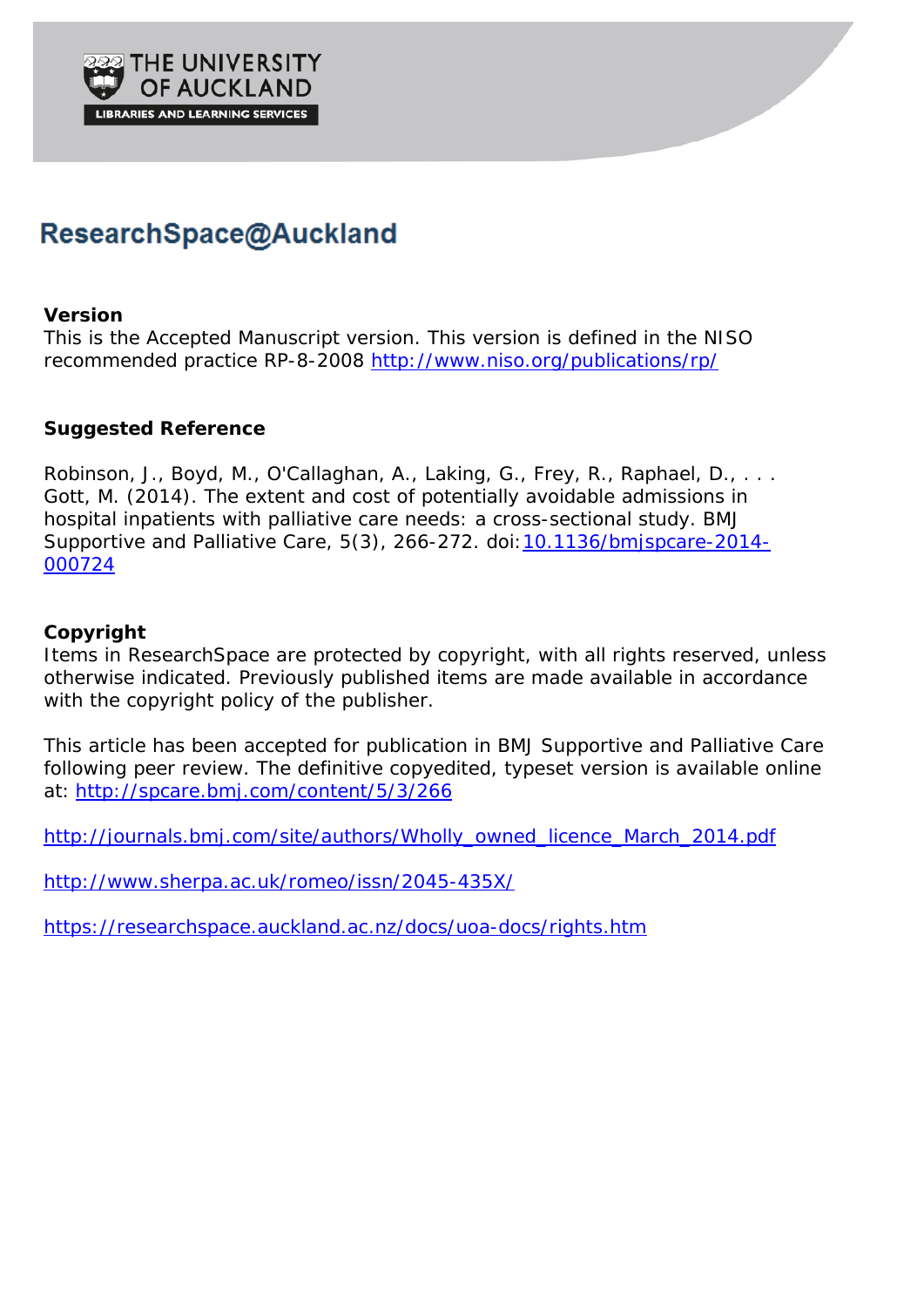

# ResearchSpace@Auckland

# **Version**

This is the Accepted Manuscript version. This version is defined in the NISO recommended practice RP-8-2008<http://www.niso.org/publications/rp/>

# **Suggested Reference**

Robinson, J., Boyd, M., O'Callaghan, A., Laking, G., Frey, R., Raphael, D., ... Gott, M. (2014). The extent and cost of potentially avoidable admissions in hospital inpatients with palliative care needs: a cross-sectional study. *BMJ Supportive and Palliative Care*, *5*(3), 266-272. doi[:10.1136/bmjspcare-2014-](http://dx.doi.org/10.1136/bmjspcare-2014-000724) [000724](http://dx.doi.org/10.1136/bmjspcare-2014-000724)

# **Copyright**

Items in ResearchSpace are protected by copyright, with all rights reserved, unless otherwise indicated. Previously published items are made available in accordance with the copyright policy of the publisher.

This article has been accepted for publication in *BMJ Supportive and Palliative Care* following peer review. The definitive copyedited, typeset version is available online at: <http://spcare.bmj.com/content/5/3/266>

[http://journals.bmj.com/site/authors/Wholly\\_owned\\_licence\\_March\\_2014.pdf](http://journals.bmj.com/site/authors/Wholly_owned_licence_March_2014.pdf)

<http://www.sherpa.ac.uk/romeo/issn/2045-435X/>

<https://researchspace.auckland.ac.nz/docs/uoa-docs/rights.htm>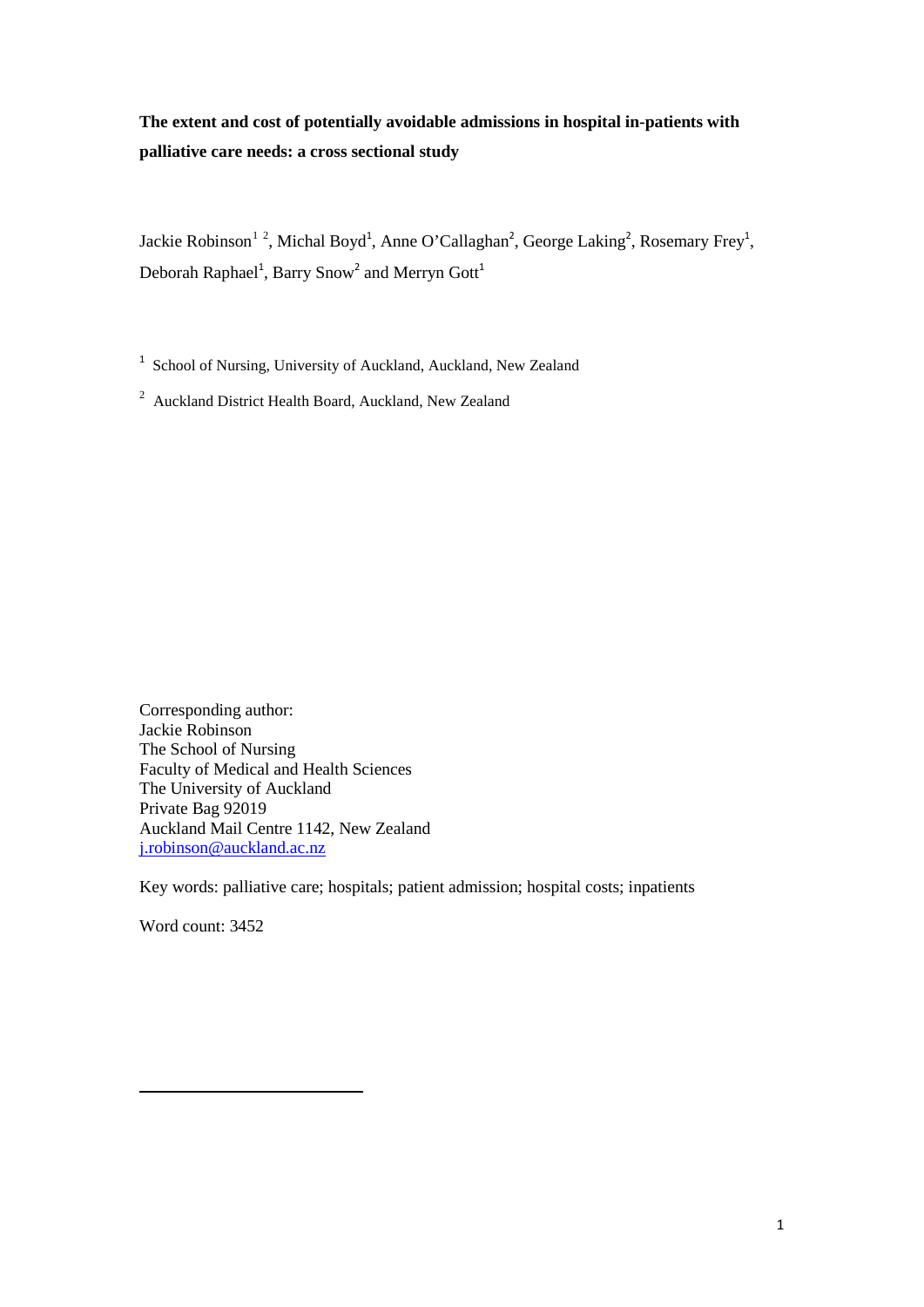# **The extent and cost of potentially avoidable admissions in hospital in-patients with palliative care needs: a cross sectional study**

<span id="page-1-1"></span><span id="page-1-0"></span>Jackie Robinson<sup>[1](#page-1-2)[2](#page-1-3)</sup>[,](#page-1-0) Michal Boyd<sup>1</sup>, Anne O'Calla[g](#page-1-1)han<sup>2</sup>, George Laking<sup>2</sup>, Rosemary Frey<sup>1</sup>, Deborah Raphae[l](#page-1-0)<sup>1</sup>, Barry Sno[w](#page-1-1)<sup>2</sup> and Merryn Go[t](#page-1-0)t<sup>1</sup>

<sup>1</sup> School of Nursing, University of Auckland, Auckland, New Zealand

<sup>2</sup> Auckland District Health Board, Auckland, New Zealand

Corresponding author: Jackie Robinson The School of Nursing Faculty of Medical and Health Sciences The University of Auckland Private Bag 92019 Auckland Mail Centre 1142, New Zealand [j.robinson@auckland.ac.nz](mailto:j.robinson@auckland.ac.nz)

Key words: palliative care; hospitals; patient admission; hospital costs; inpatients

Word count: 3452

<span id="page-1-3"></span><span id="page-1-2"></span> $\overline{a}$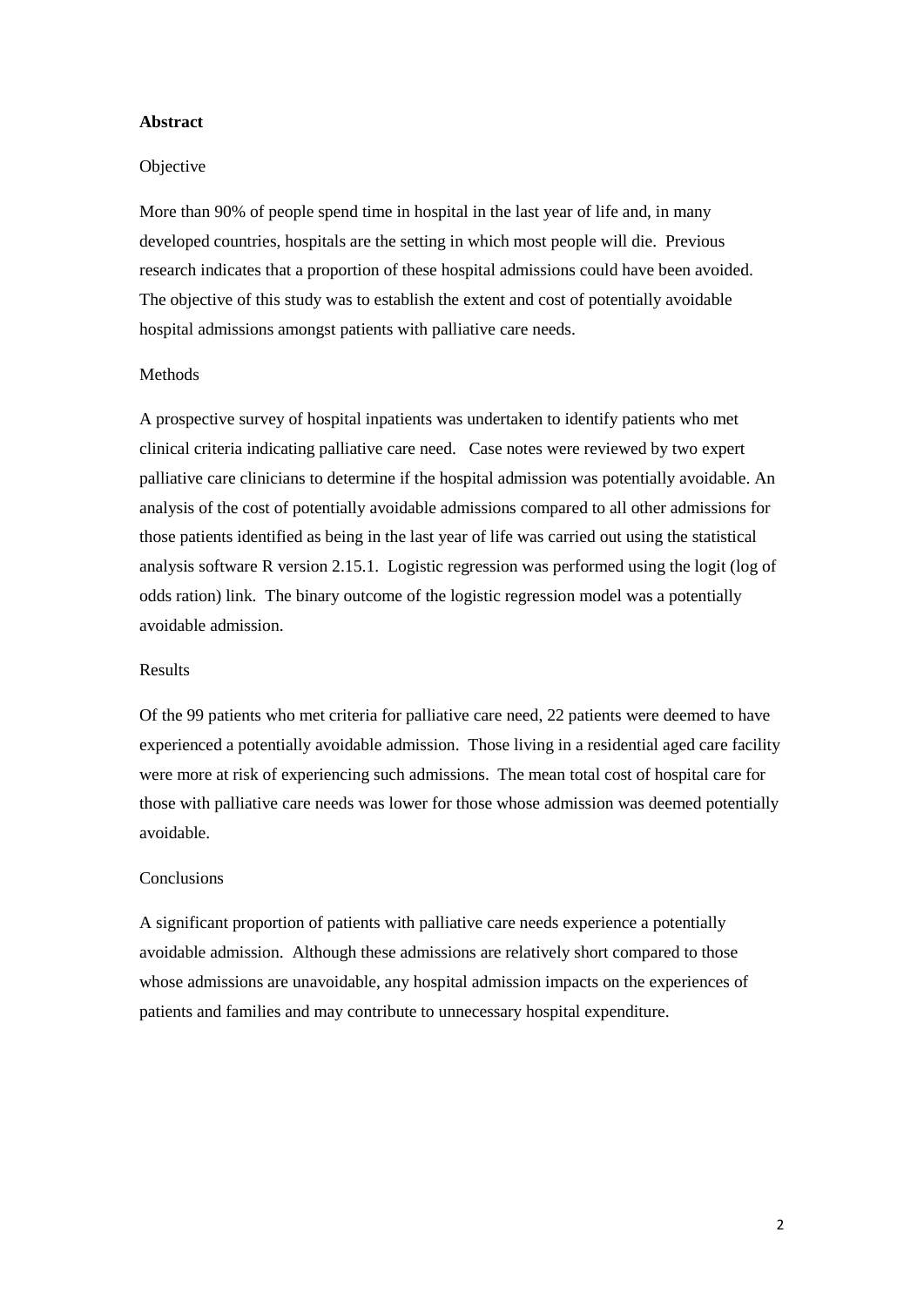#### **Abstract**

#### Objective

More than 90% of people spend time in hospital in the last year of life and, in many developed countries, hospitals are the setting in which most people will die. Previous research indicates that a proportion of these hospital admissions could have been avoided. The objective of this study was to establish the extent and cost of potentially avoidable hospital admissions amongst patients with palliative care needs.

## **Methods**

A prospective survey of hospital inpatients was undertaken to identify patients who met clinical criteria indicating palliative care need. Case notes were reviewed by two expert palliative care clinicians to determine if the hospital admission was potentially avoidable. An analysis of the cost of potentially avoidable admissions compared to all other admissions for those patients identified as being in the last year of life was carried out using the statistical analysis software R version 2.15.1. Logistic regression was performed using the logit (log of odds ration) link. The binary outcome of the logistic regression model was a potentially avoidable admission.

#### Results

Of the 99 patients who met criteria for palliative care need, 22 patients were deemed to have experienced a potentially avoidable admission. Those living in a residential aged care facility were more at risk of experiencing such admissions. The mean total cost of hospital care for those with palliative care needs was lower for those whose admission was deemed potentially avoidable.

## Conclusions

A significant proportion of patients with palliative care needs experience a potentially avoidable admission. Although these admissions are relatively short compared to those whose admissions are unavoidable, any hospital admission impacts on the experiences of patients and families and may contribute to unnecessary hospital expenditure.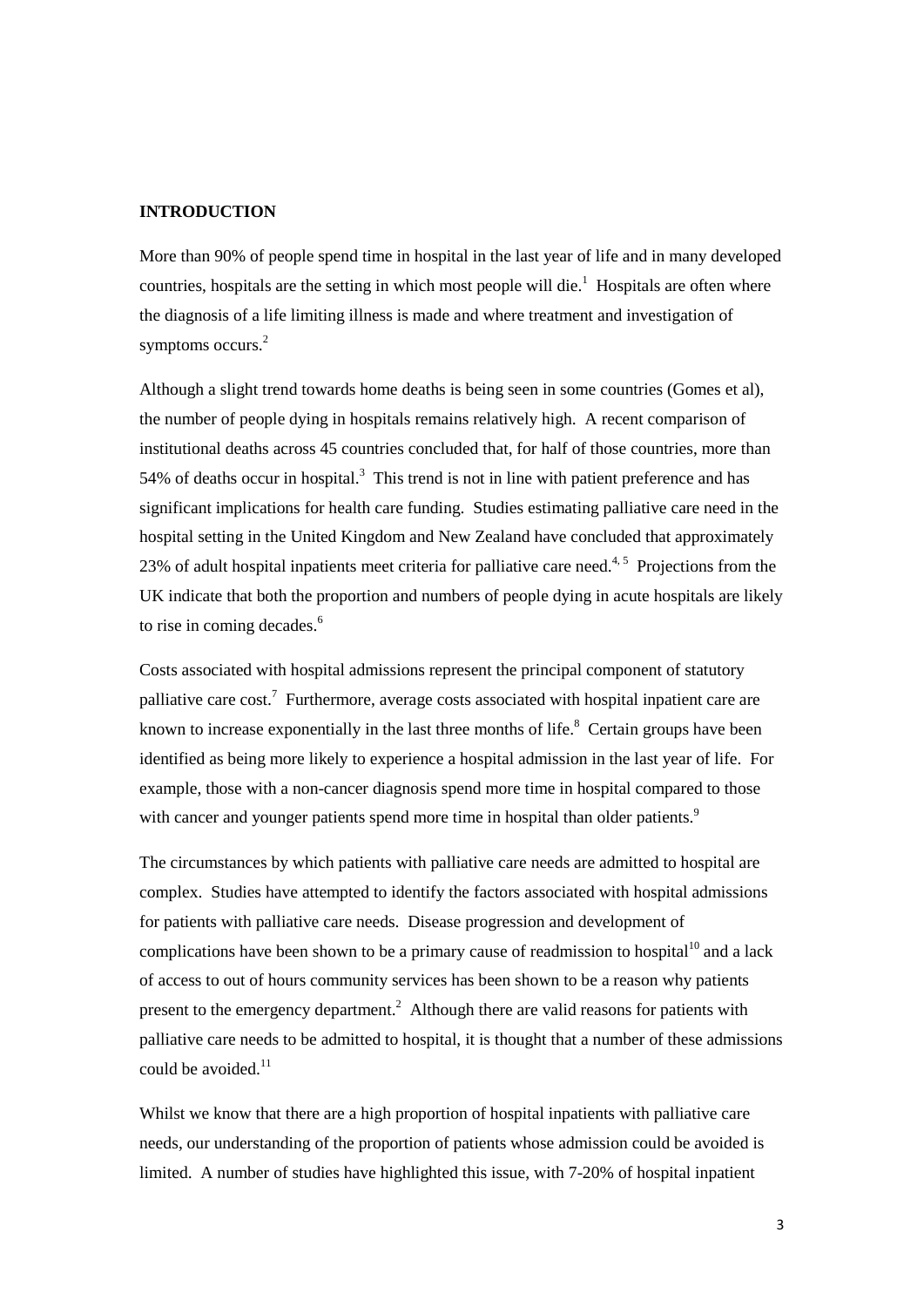#### **INTRODUCTION**

More than 90% of people spend time in hospital in the last year of life and in many developed countries,hospitals are the setting in which most people will die.<sup>1</sup> Hospitals are often where the diagnosis of a life limiting illness is made and where treatment and investigation of symptoms occurs[.](#page-15-1)<sup>2</sup>

Although a slight trend towards home deaths is being seen in some countries (Gomes et al), the number of people dying in hospitals remains relatively high. A recent comparison of institutional deaths across 45 countries concluded that, for half of those countries, more than 54% of deaths occur in hospital[.](#page-15-2)<sup>3</sup> This trend is not in line with patient preference and has significant implications for health care funding. Studies estimating palliative care need in the hospital setting in the United Kingdom and New Zealand have concluded that approximately 23% of adult hospital inpatients meet criteria for palliative care need.<sup>[4,](#page-15-3)5</sup> Projections from the UK indicate that both the proportion and numbers of people dying in acute hospitals are likely to rise in coming decades[.](#page-15-5) 6

Costs associated with hospital admissions represent the principal component of statutory palliativecare cost.<sup>7</sup> Furthermore, average costs associated with hospital inpatient care are knownto increase exponentially in the last three months of life.<sup>8</sup> Certain groups have been identified as being more likely to experience a hospital admission in the last year of life. For example, those with a non-cancer diagnosis spend more time in hospital compared to those with cancer and younger patients spend more time in hospital than older patients[.](#page-15-8)<sup>9</sup>

The circumstances by which patients with palliative care needs are admitted to hospital are complex. Studies have attempted to identify the factors associated with hospital admissions for patients with palliative care needs. Disease progression and development of complications have been shown to be a primary cause of readmission to hospital<sup>[10](#page-15-9)</sup> and a lack of access to out of hours community services has been shown to be a reason why patients presentto the emergency department.<sup>2</sup> Although there are valid reasons for patients with palliative care needs to be admitted to hospital, it is thought that a number of these admissions could be avoided.<sup>[11](#page-15-10)</sup>

Whilst we know that there are a high proportion of hospital inpatients with palliative care needs, our understanding of the proportion of patients whose admission could be avoided is limited. A number of studies have highlighted this issue, with 7-20% of hospital inpatient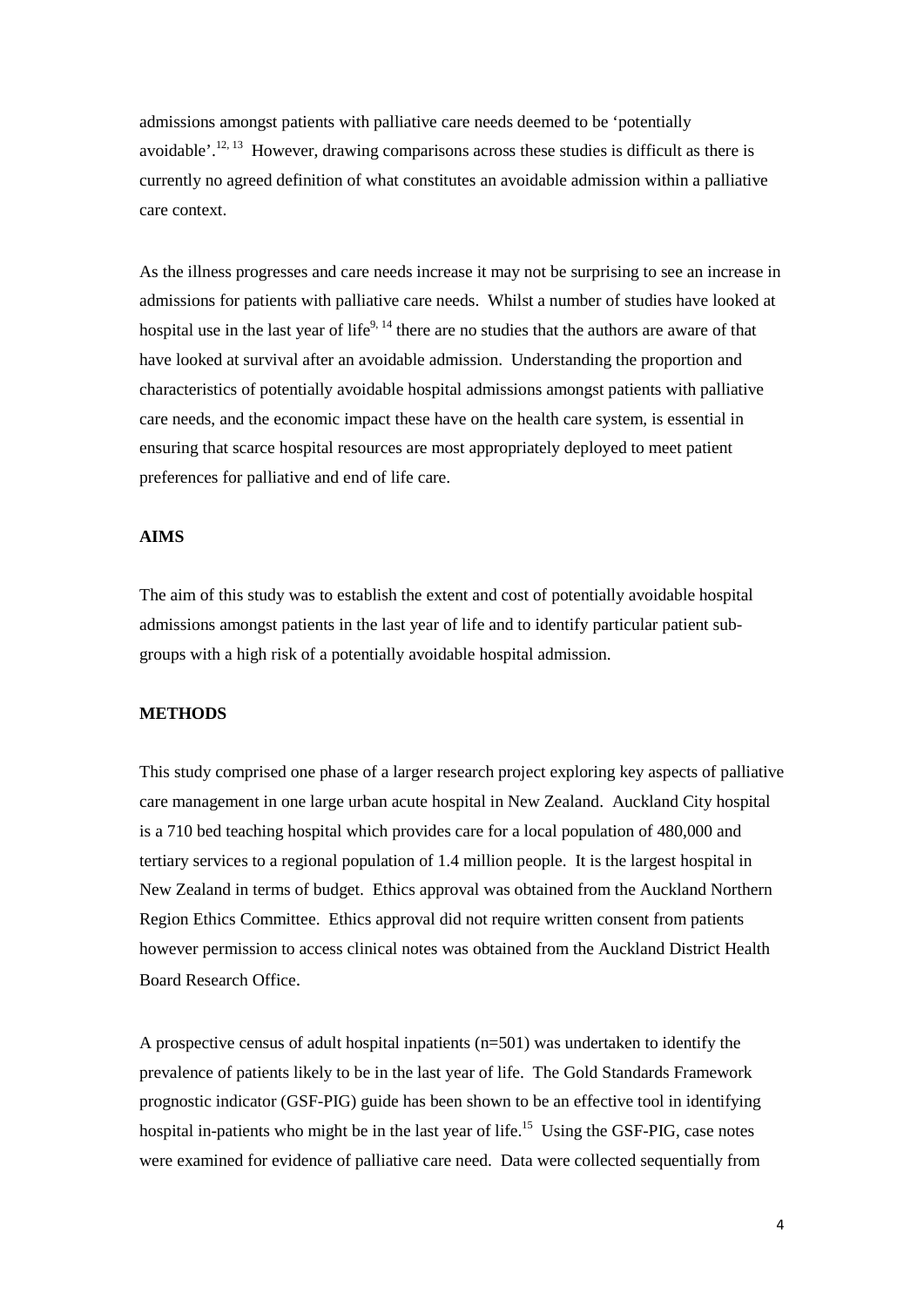admissions amongst patients with palliative care needs deemed to be 'potentially avoidable'.<sup>[12,](#page-15-11) 13</sup> However, drawing comparisons across these studies is difficult as there is currently no agreed definition of what constitutes an avoidable admission within a palliative care context.

As the illness progresses and care needs increase it may not be surprising to see an increase in admissions for patients with palliative care needs. Whilst a number of studies have looked at hospital use in the last year of life<sup>9, [14](#page-15-13)</sup> there are no studies that the authors are aware of that have looked at survival after an avoidable admission. Understanding the proportion and characteristics of potentially avoidable hospital admissions amongst patients with palliative care needs, and the economic impact these have on the health care system, is essential in ensuring that scarce hospital resources are most appropriately deployed to meet patient preferences for palliative and end of life care.

# **AIMS**

The aim of this study was to establish the extent and cost of potentially avoidable hospital admissions amongst patients in the last year of life and to identify particular patient subgroups with a high risk of a potentially avoidable hospital admission.

## **METHODS**

This study comprised one phase of a larger research project exploring key aspects of palliative care management in one large urban acute hospital in New Zealand. Auckland City hospital is a 710 bed teaching hospital which provides care for a local population of 480,000 and tertiary services to a regional population of 1.4 million people. It is the largest hospital in New Zealand in terms of budget. Ethics approval was obtained from the Auckland Northern Region Ethics Committee. Ethics approval did not require written consent from patients however permission to access clinical notes was obtained from the Auckland District Health Board Research Office.

A prospective census of adult hospital inpatients (n=501) was undertaken to identify the prevalence of patients likely to be in the last year of life. The Gold Standards Framework prognostic indicator (GSF-PIG) guide has been shown to be an effective tool in identifying hospital in-patients who might be in the last year of life.<sup>15</sup> Using the GSF-PIG, case notes were examined for evidence of palliative care need. Data were collected sequentially from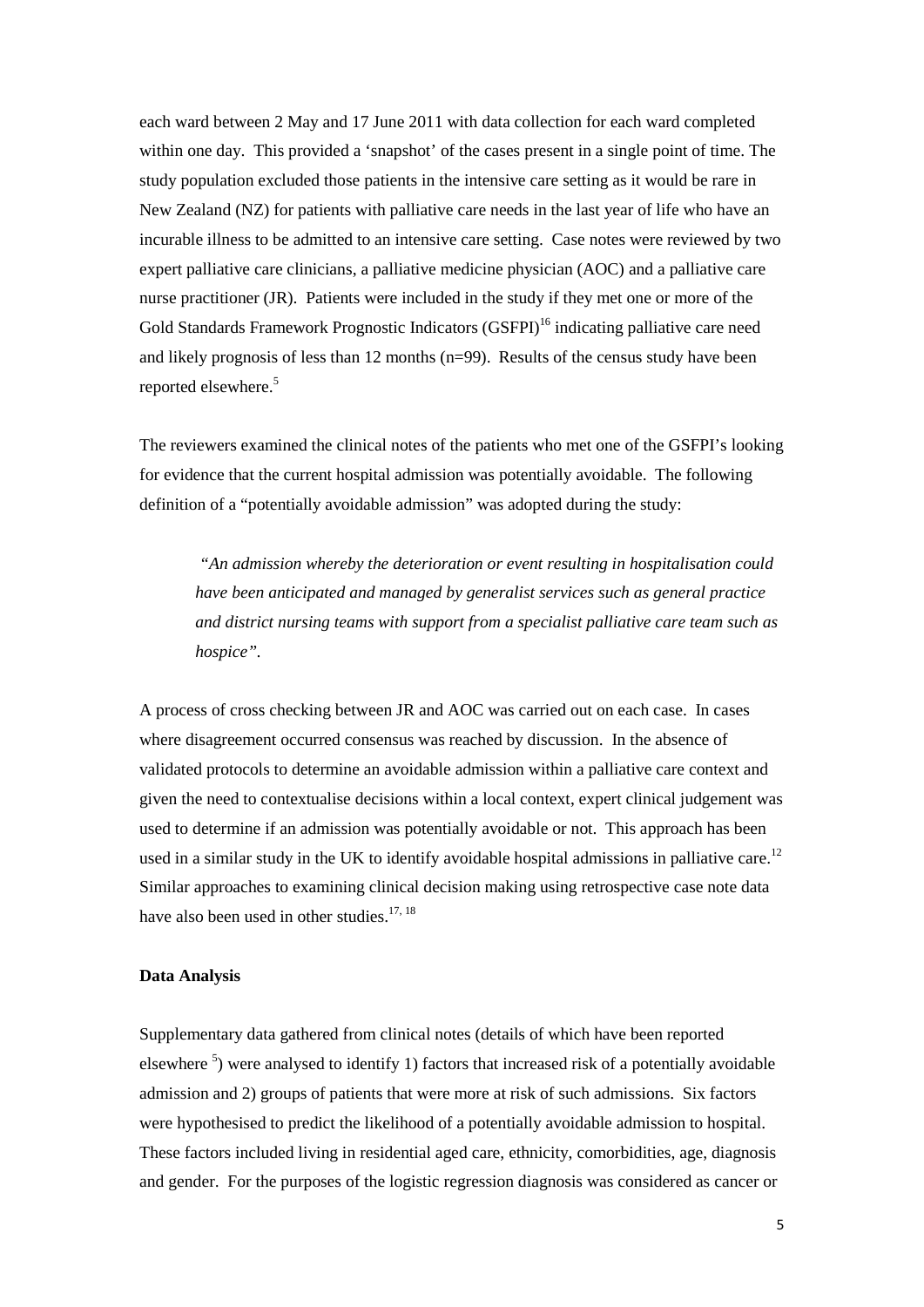each ward between 2 May and 17 June 2011 with data collection for each ward completed within one day. This provided a 'snapshot' of the cases present in a single point of time. The study population excluded those patients in the intensive care setting as it would be rare in New Zealand (NZ) for patients with palliative care needs in the last year of life who have an incurable illness to be admitted to an intensive care setting. Case notes were reviewed by two expert palliative care clinicians, a palliative medicine physician (AOC) and a palliative care nurse practitioner (JR). Patients were included in the study if they met one or more of the Gold Standards Framework Prognostic Indicators (GSFPI)<sup>[16](#page-15-15)</sup> indicating palliative care need and likely prognosis of less than 12 months (n=99). Results of the census study have been reportedelsewhere.<sup>5</sup>

The reviewers examined the clinical notes of the patients who met one of the GSFPI's looking for evidence that the current hospital admission was potentially avoidable. The following definition of a "potentially avoidable admission" was adopted during the study:

*"An admission whereby the deterioration or event resulting in hospitalisation could have been anticipated and managed by generalist services such as general practice and district nursing teams with support from a specialist palliative care team such as hospice".*

A process of cross checking between JR and AOC was carried out on each case. In cases where disagreement occurred consensus was reached by discussion. In the absence of validated protocols to determine an avoidable admission within a palliative care context and given the need to contextualise decisions within a local context, expert clinical judgement was used to determine if an admission was potentially avoidable or not. This approach has been used in a similar study in the UK to identify avoidable hospital admissions in palliative care.<sup>[12](#page-15-11)</sup> Similar approaches to examining clinical decision making using retrospective case note data have also been used in other studies.<sup>[17,](#page-15-16) [18](#page-15-17)</sup>

## **Data Analysis**

Supplementary data gathered from clinical notes (details of which have been reported elsewhere<sup>5</sup>) were analysed to identify 1) factors that increased risk of a potentially avoidable admission and 2) groups of patients that were more at risk of such admissions. Six factors were hypothesised to predict the likelihood of a potentially avoidable admission to hospital. These factors included living in residential aged care, ethnicity, comorbidities, age, diagnosis and gender. For the purposes of the logistic regression diagnosis was considered as cancer or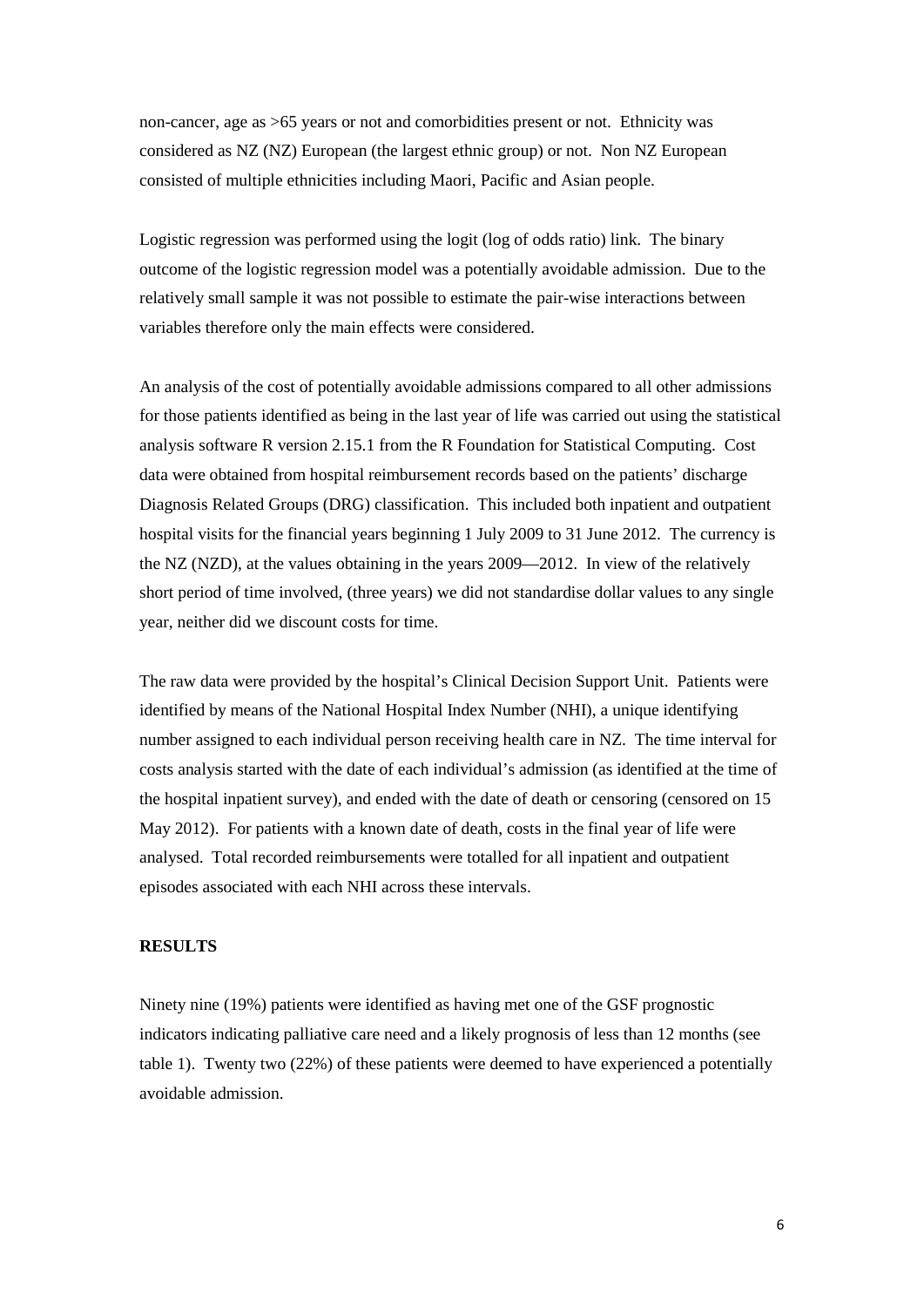non-cancer, age as >65 years or not and comorbidities present or not. Ethnicity was considered as NZ (NZ) European (the largest ethnic group) or not. Non NZ European consisted of multiple ethnicities including Maori, Pacific and Asian people.

Logistic regression was performed using the logit (log of odds ratio) link. The binary outcome of the logistic regression model was a potentially avoidable admission. Due to the relatively small sample it was not possible to estimate the pair-wise interactions between variables therefore only the main effects were considered.

An analysis of the cost of potentially avoidable admissions compared to all other admissions for those patients identified as being in the last year of life was carried out using the statistical analysis software R version 2.15.1 from the R Foundation for Statistical Computing. Cost data were obtained from hospital reimbursement records based on the patients' discharge Diagnosis Related Groups (DRG) classification. This included both inpatient and outpatient hospital visits for the financial years beginning 1 July 2009 to 31 June 2012. The currency is the NZ (NZD), at the values obtaining in the years 2009—2012. In view of the relatively short period of time involved, (three years) we did not standardise dollar values to any single year, neither did we discount costs for time.

The raw data were provided by the hospital's Clinical Decision Support Unit. Patients were identified by means of the National Hospital Index Number (NHI), a unique identifying number assigned to each individual person receiving health care in NZ. The time interval for costs analysis started with the date of each individual's admission (as identified at the time of the hospital inpatient survey), and ended with the date of death or censoring (censored on 15 May 2012). For patients with a known date of death, costs in the final year of life were analysed. Total recorded reimbursements were totalled for all inpatient and outpatient episodes associated with each NHI across these intervals.

## **RESULTS**

Ninety nine (19%) patients were identified as having met one of the GSF prognostic indicators indicating palliative care need and a likely prognosis of less than 12 months (see table 1). Twenty two (22%) of these patients were deemed to have experienced a potentially avoidable admission.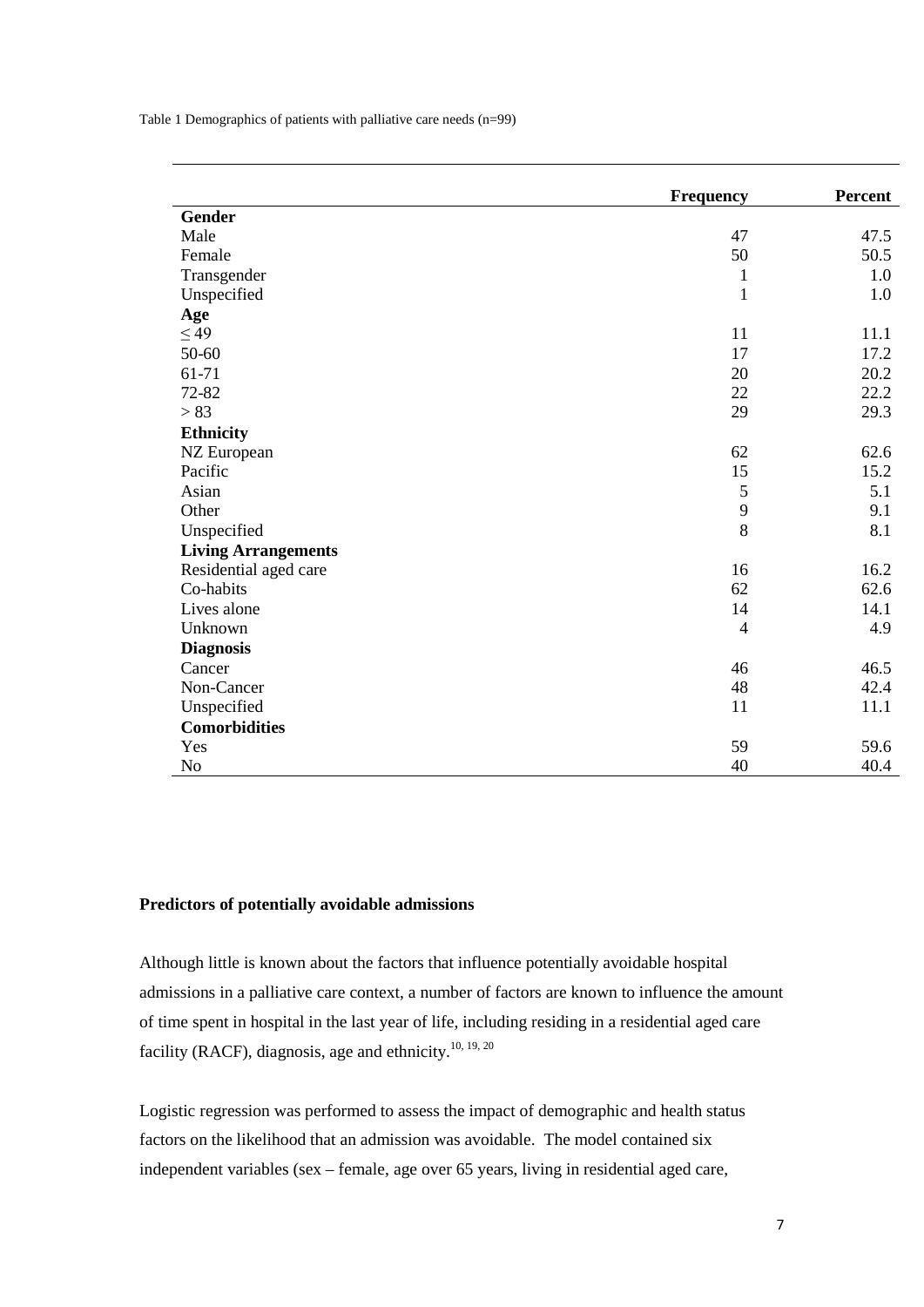Table 1 Demographics of patients with palliative care needs (n=99)

|                            | <b>Frequency</b> | Percent |
|----------------------------|------------------|---------|
| <b>Gender</b>              |                  |         |
| Male                       | 47               | 47.5    |
| Female                     | 50               | 50.5    |
| Transgender                | $\mathbf{1}$     | 1.0     |
| Unspecified                | $\mathbf{1}$     | 1.0     |
| Age                        |                  |         |
| $\leq 49$                  | 11               | 11.1    |
| 50-60                      | 17               | 17.2    |
| 61-71                      | 20               | 20.2    |
| 72-82                      | 22               | 22.2    |
| > 83                       | 29               | 29.3    |
| <b>Ethnicity</b>           |                  |         |
| NZ European                | 62               | 62.6    |
| Pacific                    | 15               | 15.2    |
| Asian                      | $\mathfrak{S}$   | 5.1     |
| Other                      | 9                | 9.1     |
| Unspecified                | 8                | 8.1     |
| <b>Living Arrangements</b> |                  |         |
| Residential aged care      | 16               | 16.2    |
| Co-habits                  | 62               | 62.6    |
| Lives alone                | 14               | 14.1    |
| Unknown                    | $\overline{4}$   | 4.9     |
| <b>Diagnosis</b>           |                  |         |
| Cancer                     | 46               | 46.5    |
| Non-Cancer                 | 48               | 42.4    |
| Unspecified                | 11               | 11.1    |
| <b>Comorbidities</b>       |                  |         |
| Yes                        | 59               | 59.6    |
| N <sub>o</sub>             | 40               | 40.4    |

# **Predictors of potentially avoidable admissions**

Although little is known about the factors that influence potentially avoidable hospital admissions in a palliative care context, a number of factors are known to influence the amount of time spent in hospital in the last year of life, including residing in a residential aged care facility (RACF), diagnosis, age and ethnicity.<sup>[10,](#page-15-9) [19,](#page-15-18) [20](#page-15-19)</sup>

Logistic regression was performed to assess the impact of demographic and health status factors on the likelihood that an admission was avoidable. The model contained six independent variables (sex – female, age over 65 years, living in residential aged care,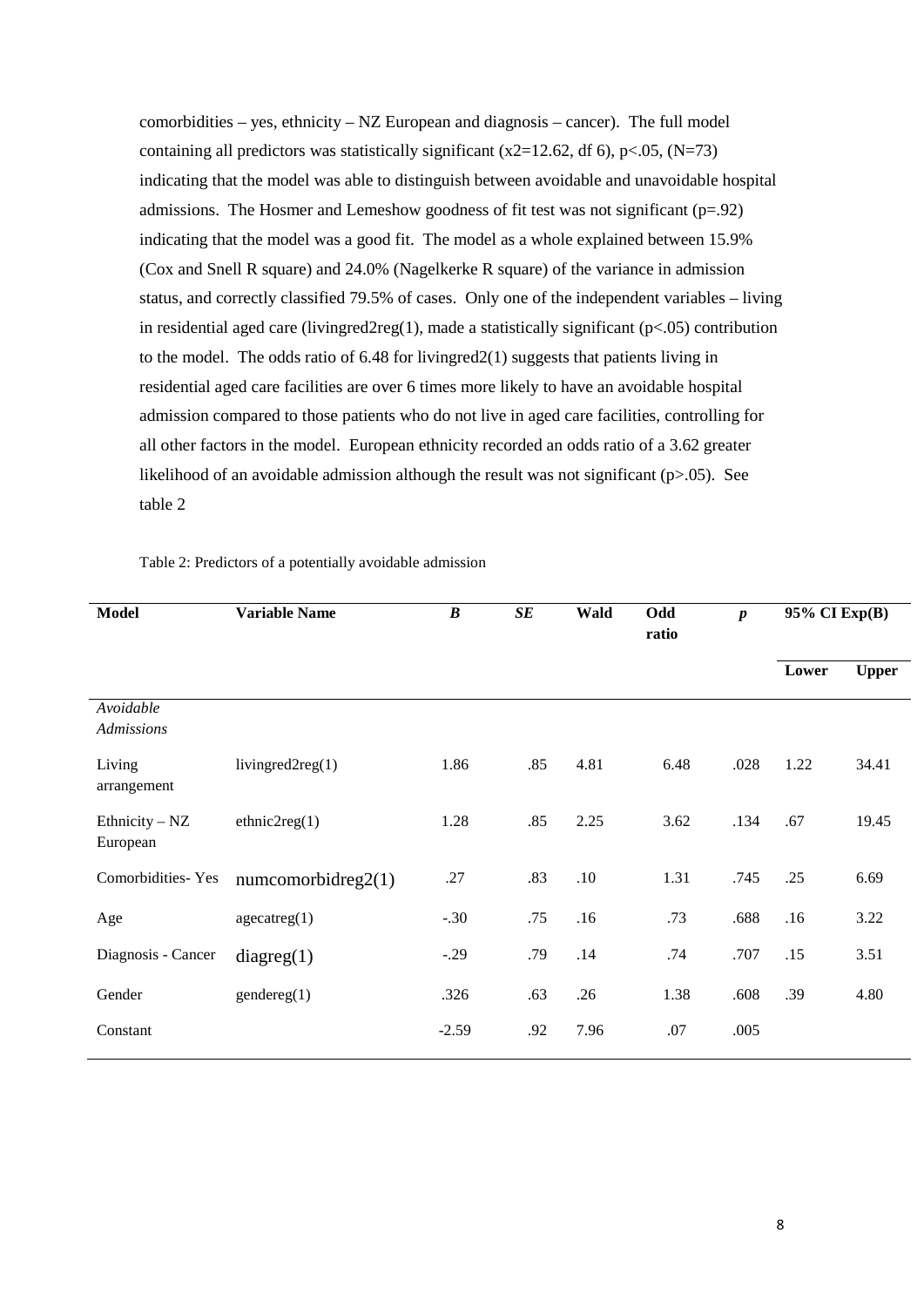comorbidities – yes, ethnicity –  $NZ$  European and diagnosis – cancer). The full model containing all predictors was statistically significant (x2=12.62, df 6), p<.05, (N=73) indicating that the model was able to distinguish between avoidable and unavoidable hospital admissions. The Hosmer and Lemeshow goodness of fit test was not significant (p=.92) indicating that the model was a good fit. The model as a whole explained between 15.9% (Cox and Snell R square) and 24.0% (Nagelkerke R square) of the variance in admission status, and correctly classified 79.5% of cases. Only one of the independent variables – living in residential aged care (livingred2reg(1), made a statistically significant (p<.05) contribution to the model. The odds ratio of  $6.48$  for livingred $2(1)$  suggests that patients living in residential aged care facilities are over 6 times more likely to have an avoidable hospital admission compared to those patients who do not live in aged care facilities, controlling for all other factors in the model. European ethnicity recorded an odds ratio of a 3.62 greater likelihood of an avoidable admission although the result was not significant ( $p>0.05$ ). See table 2

| <b>Model</b>                 | <b>Variable Name</b> | $\boldsymbol{B}$ | SE  | Wald | Odd<br>ratio | $\boldsymbol{p}$ | 95% CI Exp(B) |              |
|------------------------------|----------------------|------------------|-----|------|--------------|------------------|---------------|--------------|
|                              |                      |                  |     |      |              |                  | Lower         | <b>Upper</b> |
| Avoidable<br>Admissions      |                      |                  |     |      |              |                  |               |              |
| Living<br>arrangement        | livingred $2reg(1)$  | 1.86             | .85 | 4.81 | 6.48         | .028             | 1.22          | 34.41        |
| Ethnicity $- NZ$<br>European | ethnic2reg(1)        | 1.28             | .85 | 2.25 | 3.62         | .134             | .67           | 19.45        |
| <b>Comorbidities-Yes</b>     | numcomorbidreg2(1)   | .27              | .83 | .10  | 1.31         | .745             | .25           | 6.69         |
| Age                          | $a$ gecatreg $(1)$   | $-.30$           | .75 | .16  | .73          | .688             | .16           | 3.22         |
| Diagnosis - Cancer           | diagreg(1)           | $-.29$           | .79 | .14  | .74          | .707             | .15           | 3.51         |
| Gender                       | gender (1)           | .326             | .63 | .26  | 1.38         | .608             | .39           | 4.80         |
| Constant                     |                      | $-2.59$          | .92 | 7.96 | .07          | .005             |               |              |

Table 2: Predictors of a potentially avoidable admission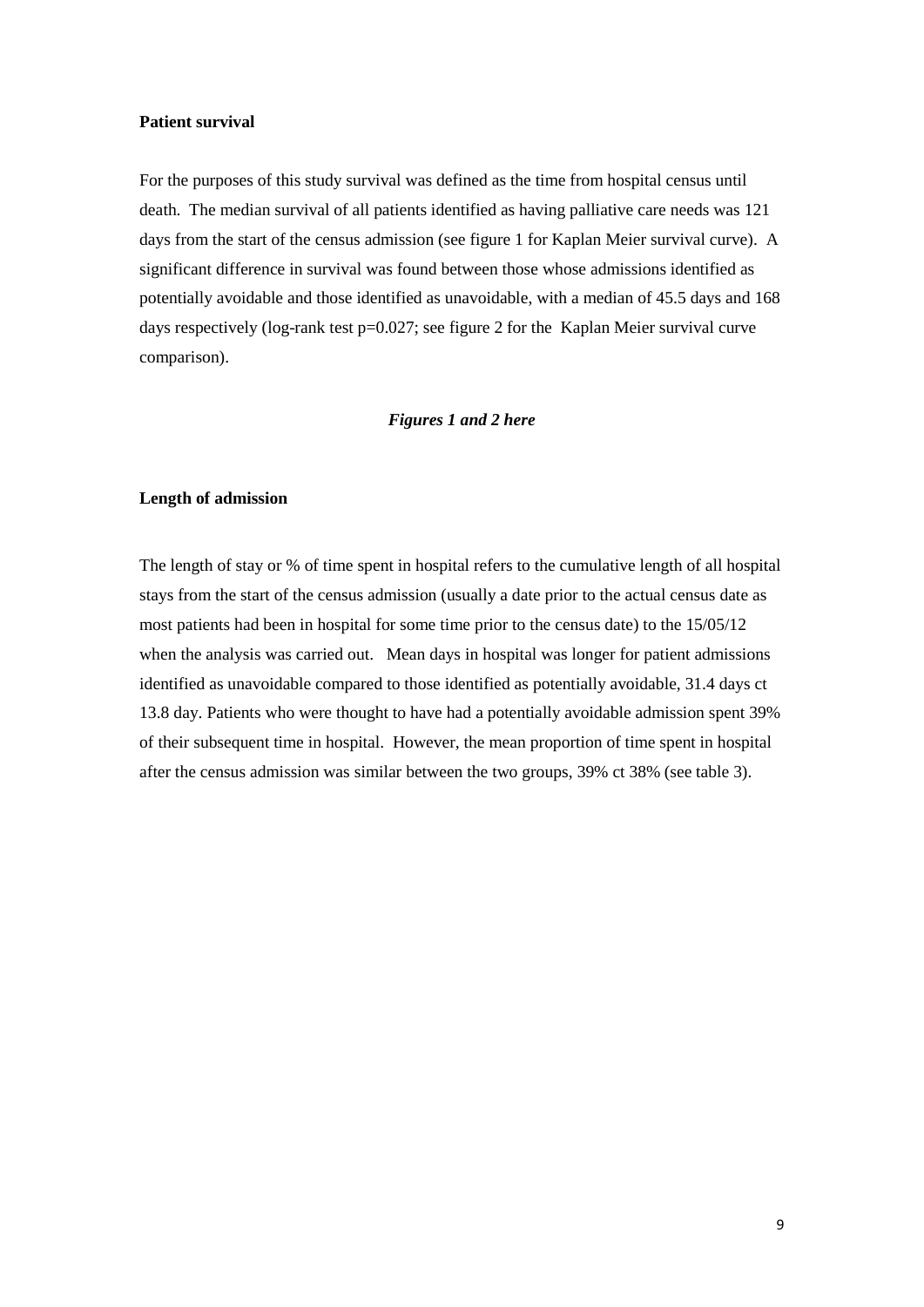#### **Patient survival**

For the purposes of this study survival was defined as the time from hospital census until death. The median survival of all patients identified as having palliative care needs was 121 days from the start of the census admission (see figure 1 for Kaplan Meier survival curve). A significant difference in survival was found between those whose admissions identified as potentially avoidable and those identified as unavoidable, with a median of 45.5 days and 168 days respectively (log-rank test p=0.027; see figure 2 for the Kaplan Meier survival curve comparison).

## *Figures 1 and 2 here*

#### **Length of admission**

The length of stay or % of time spent in hospital refers to the cumulative length of all hospital stays from the start of the census admission (usually a date prior to the actual census date as most patients had been in hospital for some time prior to the census date) to the 15/05/12 when the analysis was carried out. Mean days in hospital was longer for patient admissions identified as unavoidable compared to those identified as potentially avoidable, 31.4 days ct 13.8 day. Patients who were thought to have had a potentially avoidable admission spent 39% of their subsequent time in hospital. However, the mean proportion of time spent in hospital after the census admission was similar between the two groups, 39% ct 38% (see table 3).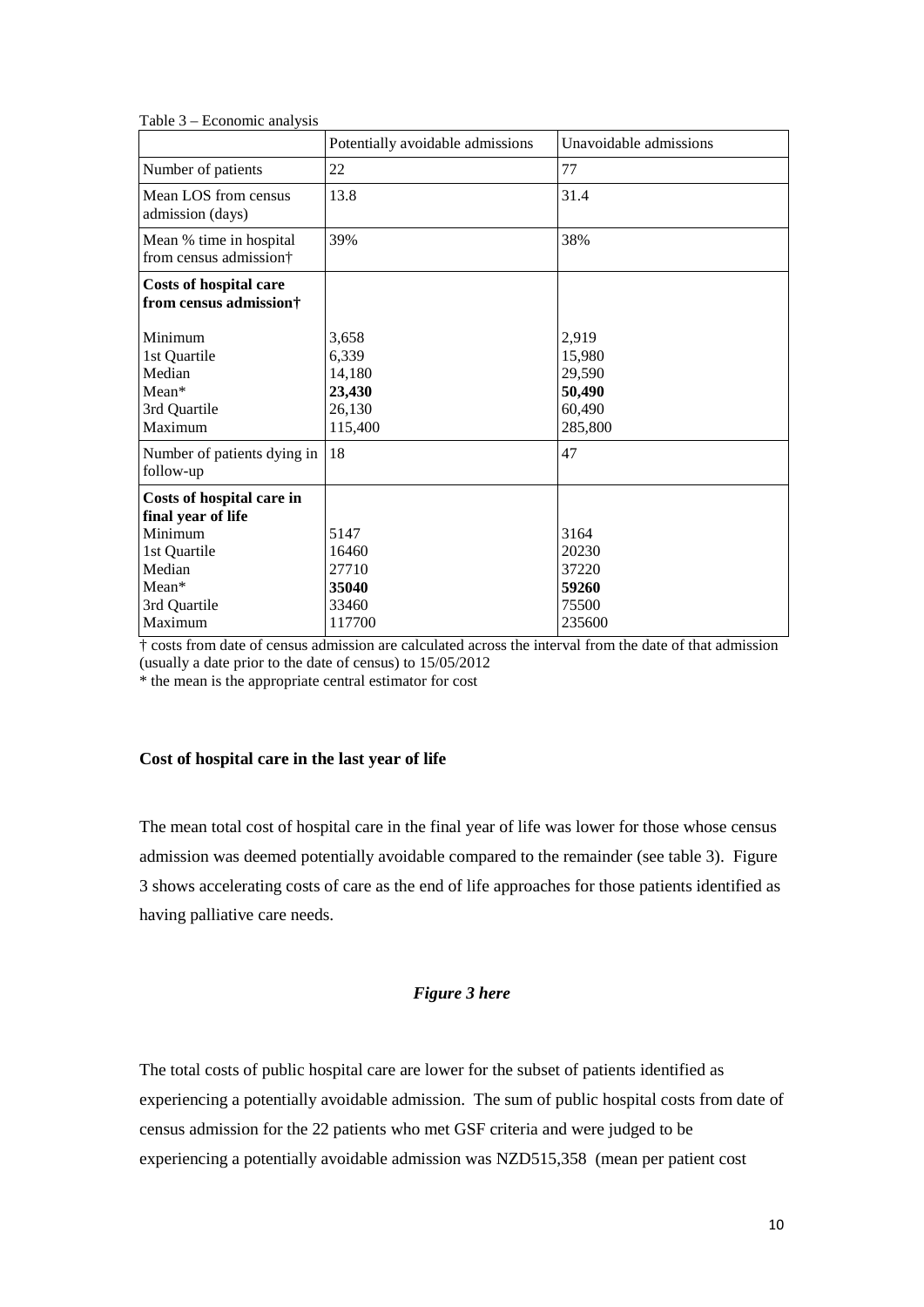|                                                                                                                          | Potentially avoidable admissions                        | Unavoidable admissions                                   |
|--------------------------------------------------------------------------------------------------------------------------|---------------------------------------------------------|----------------------------------------------------------|
| Number of patients                                                                                                       | 22                                                      | 77                                                       |
| Mean LOS from census<br>admission (days)                                                                                 | 13.8                                                    | 31.4                                                     |
| Mean % time in hospital<br>from census admission†                                                                        | 39%                                                     | 38%                                                      |
| <b>Costs of hospital care</b><br>from census admission†                                                                  |                                                         |                                                          |
| Minimum<br>1st Quartile<br>Median<br>Mean*<br>3rd Quartile<br>Maximum                                                    | 3,658<br>6,339<br>14,180<br>23,430<br>26,130<br>115,400 | 2,919<br>15,980<br>29,590<br>50,490<br>60,490<br>285,800 |
| Number of patients dying in<br>follow-up                                                                                 | 18                                                      | 47                                                       |
| Costs of hospital care in<br>final year of life<br>Minimum<br>1st Quartile<br>Median<br>Mean*<br>3rd Quartile<br>Maximum | 5147<br>16460<br>27710<br>35040<br>33460<br>117700      | 3164<br>20230<br>37220<br>59260<br>75500<br>235600       |

Table 3 – Economic analysis

† costs from date of census admission are calculated across the interval from the date of that admission (usually a date prior to the date of census) to 15/05/2012

\* the mean is the appropriate central estimator for cost

#### **Cost of hospital care in the last year of life**

The mean total cost of hospital care in the final year of life was lower for those whose census admission was deemed potentially avoidable compared to the remainder (see table 3). Figure 3 shows accelerating costs of care as the end of life approaches for those patients identified as having palliative care needs.

#### *Figure 3 here*

The total costs of public hospital care are lower for the subset of patients identified as experiencing a potentially avoidable admission. The sum of public hospital costs from date of census admission for the 22 patients who met GSF criteria and were judged to be experiencing a potentially avoidable admission was NZD515,358 (mean per patient cost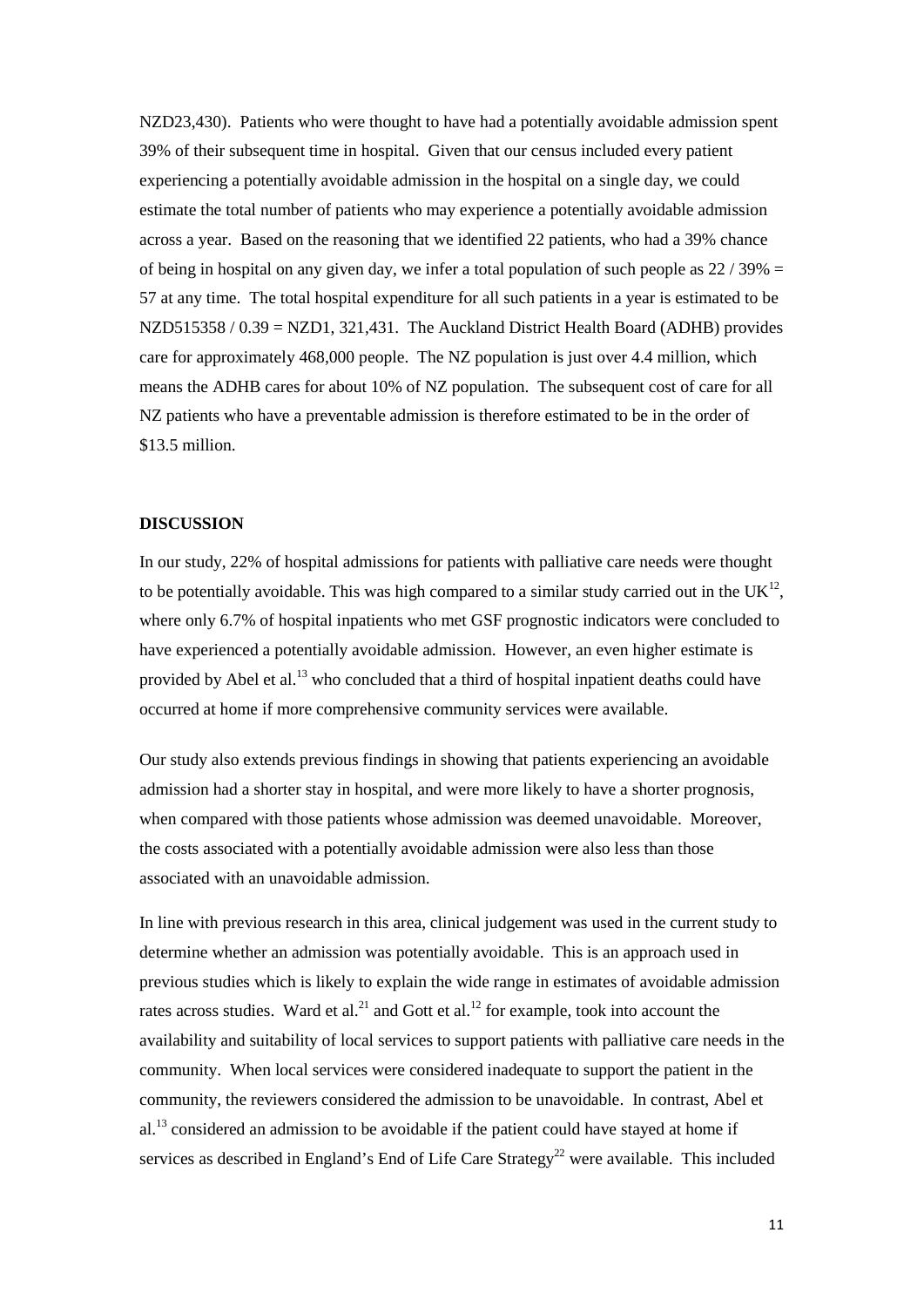NZD23,430). Patients who were thought to have had a potentially avoidable admission spent 39% of their subsequent time in hospital. Given that our census included every patient experiencing a potentially avoidable admission in the hospital on a single day, we could estimate the total number of patients who may experience a potentially avoidable admission across a year. Based on the reasoning that we identified 22 patients, who had a 39% chance of being in hospital on any given day, we infer a total population of such people as  $22/39\% =$ 57 at any time. The total hospital expenditure for all such patients in a year is estimated to be NZD515358 / 0.39 = NZD1, 321,431. The Auckland District Health Board (ADHB) provides care for approximately 468,000 people. The NZ population is just over 4.4 million, which means the ADHB cares for about 10% of NZ population. The subsequent cost of care for all NZ patients who have a preventable admission is therefore estimated to be in the order of \$13.5 million.

## **DISCUSSION**

In our study, 22% of hospital admissions for patients with palliative care needs were thought to be potentially avoidable. This was high compared to a similar study carried out in the  $UK^{12}$ , where only 6.7% of hospital inpatients who met GSF prognostic indicators were concluded to have experienced a potentially avoidable admission. However, an even higher estimate is provided by Abel et al.<sup>13</sup> who concluded that a third of hospital inpatient deaths could have occurred at home if more comprehensive community services were available.

Our study also extends previous findings in showing that patients experiencing an avoidable admission had a shorter stay in hospital, and were more likely to have a shorter prognosis, when compared with those patients whose admission was deemed unavoidable. Moreover, the costs associated with a potentially avoidable admission were also less than those associated with an unavoidable admission.

In line with previous research in this area, clinical judgement was used in the current study to determine whether an admission was potentially avoidable. This is an approach used in previous studies which is likely to explain the wide range in estimates of avoidable admission rates across studies. Ward et al.<sup>21</sup> and Gott et al.<sup>12</sup> for example, took into account the availability and suitability of local services to support patients with palliative care needs in the community. When local services were considered inadequate to support the patient in the community, the reviewers considered the admission to be unavoidable. In contrast, Abel et  $al<sup>13</sup>$  $al<sup>13</sup>$  $al<sup>13</sup>$  considered an admission to be avoidable if the patient could have stayed at home if services as described in England's End of Life Care Strategy<sup>22</sup> were available. This included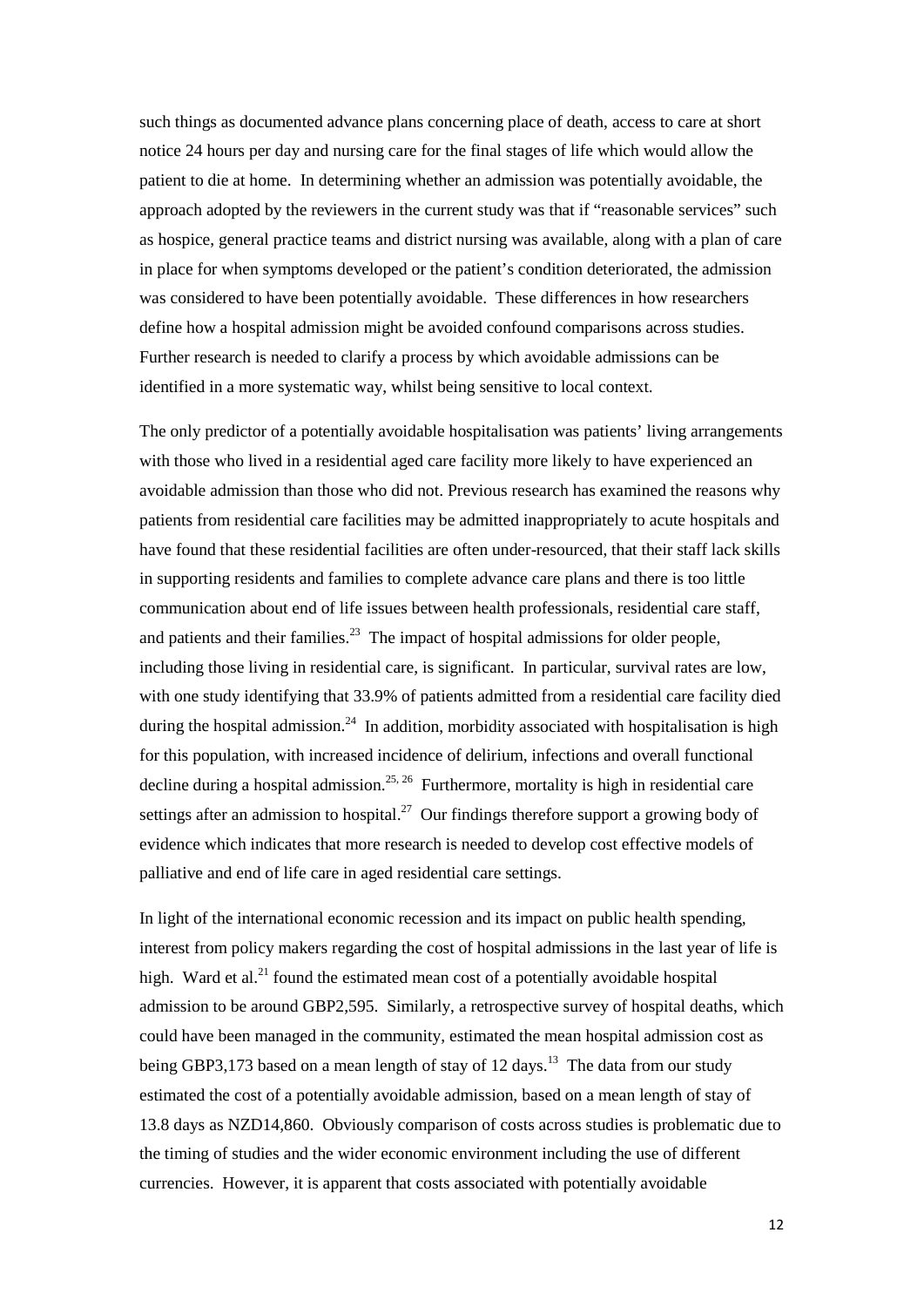such things as documented advance plans concerning place of death, access to care at short notice 24 hours per day and nursing care for the final stages of life which would allow the patient to die at home. In determining whether an admission was potentially avoidable, the approach adopted by the reviewers in the current study was that if "reasonable services" such as hospice, general practice teams and district nursing was available, along with a plan of care in place for when symptoms developed or the patient's condition deteriorated, the admission was considered to have been potentially avoidable. These differences in how researchers define how a hospital admission might be avoided confound comparisons across studies. Further research is needed to clarify a process by which avoidable admissions can be identified in a more systematic way, whilst being sensitive to local context.

The only predictor of a potentially avoidable hospitalisation was patients' living arrangements with those who lived in a residential aged care facility more likely to have experienced an avoidable admission than those who did not. Previous research has examined the reasons why patients from residential care facilities may be admitted inappropriately to acute hospitals and have found that these residential facilities are often under-resourced, that their staff lack skills in supporting residents and families to complete advance care plans and there is too little communication about end of life issues between health professionals, residential care staff, and patients and their families. $^{23}$  The impact of hospital admissions for older people, including those living in residential care, is significant. In particular, survival rates are low, with one study identifying that 33.9% of patients admitted from a residential care facility died during the hospital admission.<sup>24</sup> In addition, morbidity associated with hospitalisation is high for this population, with increased incidence of delirium, infections and overall functional decline during a hospital admission.<sup>[25,](#page-16-4) 26</sup> Furthermore, mortality is high in residential care settings after an admission to hospital.<sup>27</sup> Our findings therefore support a growing body of evidence which indicates that more research is needed to develop cost effective models of palliative and end of life care in aged residential care settings.

In light of the international economic recession and its impact on public health spending, interest from policy makers regarding the cost of hospital admissions in the last year of life is high. Ward et al.<sup>21</sup> found the estimated mean cost of a potentially avoidable hospital admission to be around GBP2,595. Similarly, a retrospective survey of hospital deaths, which could have been managed in the community, estimated the mean hospital admission cost as being GBP3,173 based on a mean length of stay of 12 days.<sup>13</sup> The data from our study estimated the cost of a potentially avoidable admission, based on a mean length of stay of 13.8 days as NZD14,860. Obviously comparison of costs across studies is problematic due to the timing of studies and the wider economic environment including the use of different currencies. However, it is apparent that costs associated with potentially avoidable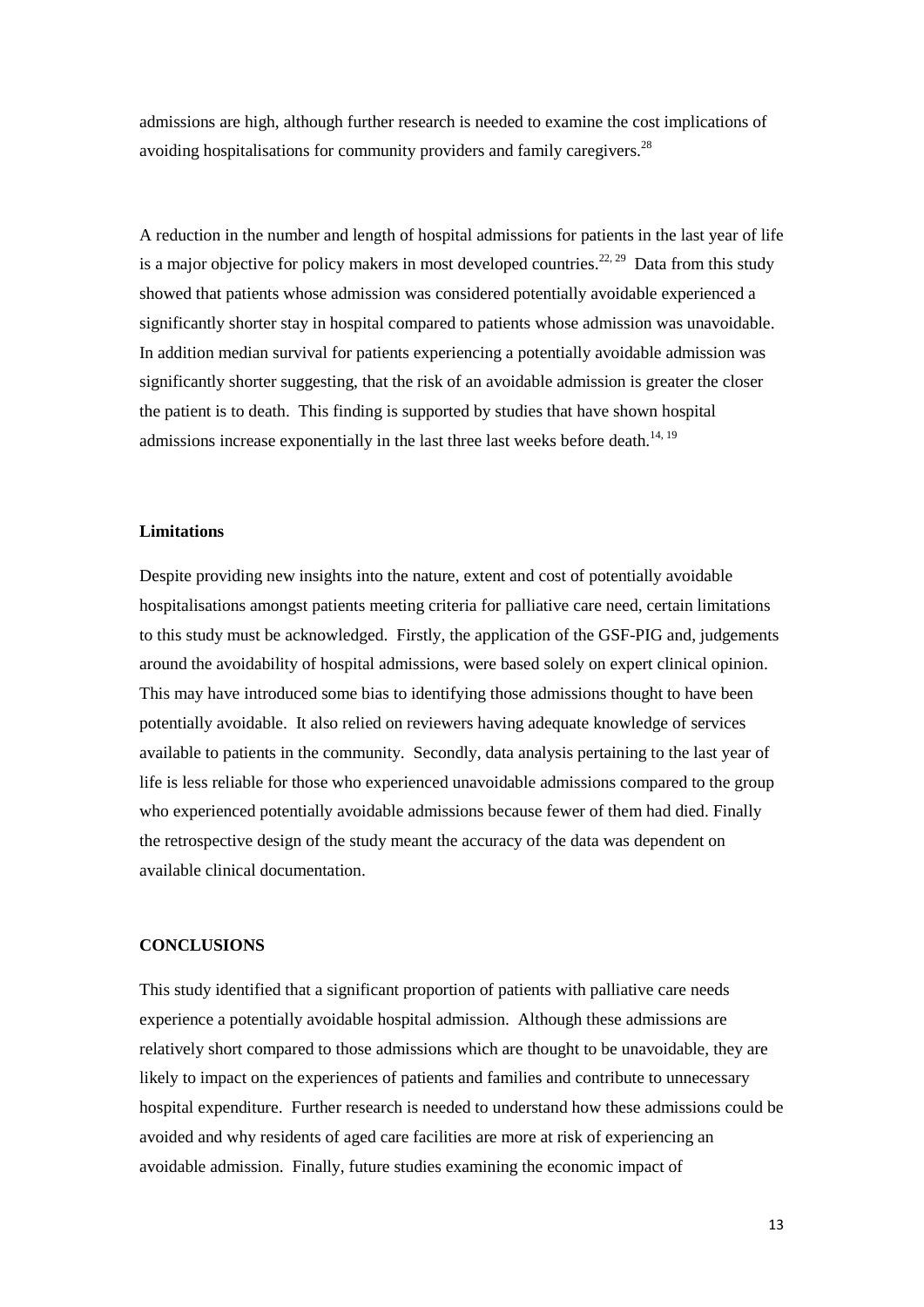admissions are high, although further research is needed to examine the cost implications of avoiding hospitalisations for community providers and family caregivers.<sup>[28](#page-16-7)</sup>

A reduction in the number and length of hospital admissions for patients in the last year of life is a major objective for policy makers in most developed countries.<sup>[22,](#page-16-1) 29</sup> Data from this study showed that patients whose admission was considered potentially avoidable experienced a significantly shorter stay in hospital compared to patients whose admission was unavoidable. In addition median survival for patients experiencing a potentially avoidable admission was significantly shorter suggesting, that the risk of an avoidable admission is greater the closer the patient is to death. This finding is supported by studies that have shown hospital admissions increase exponentially in the last three last weeks before death.<sup>[14,](#page-15-13) [19](#page-15-18)</sup>

#### **Limitations**

Despite providing new insights into the nature, extent and cost of potentially avoidable hospitalisations amongst patients meeting criteria for palliative care need, certain limitations to this study must be acknowledged. Firstly, the application of the GSF-PIG and, judgements around the avoidability of hospital admissions, were based solely on expert clinical opinion. This may have introduced some bias to identifying those admissions thought to have been potentially avoidable. It also relied on reviewers having adequate knowledge of services available to patients in the community. Secondly, data analysis pertaining to the last year of life is less reliable for those who experienced unavoidable admissions compared to the group who experienced potentially avoidable admissions because fewer of them had died. Finally the retrospective design of the study meant the accuracy of the data was dependent on available clinical documentation.

## **CONCLUSIONS**

This study identified that a significant proportion of patients with palliative care needs experience a potentially avoidable hospital admission. Although these admissions are relatively short compared to those admissions which are thought to be unavoidable, they are likely to impact on the experiences of patients and families and contribute to unnecessary hospital expenditure. Further research is needed to understand how these admissions could be avoided and why residents of aged care facilities are more at risk of experiencing an avoidable admission. Finally, future studies examining the economic impact of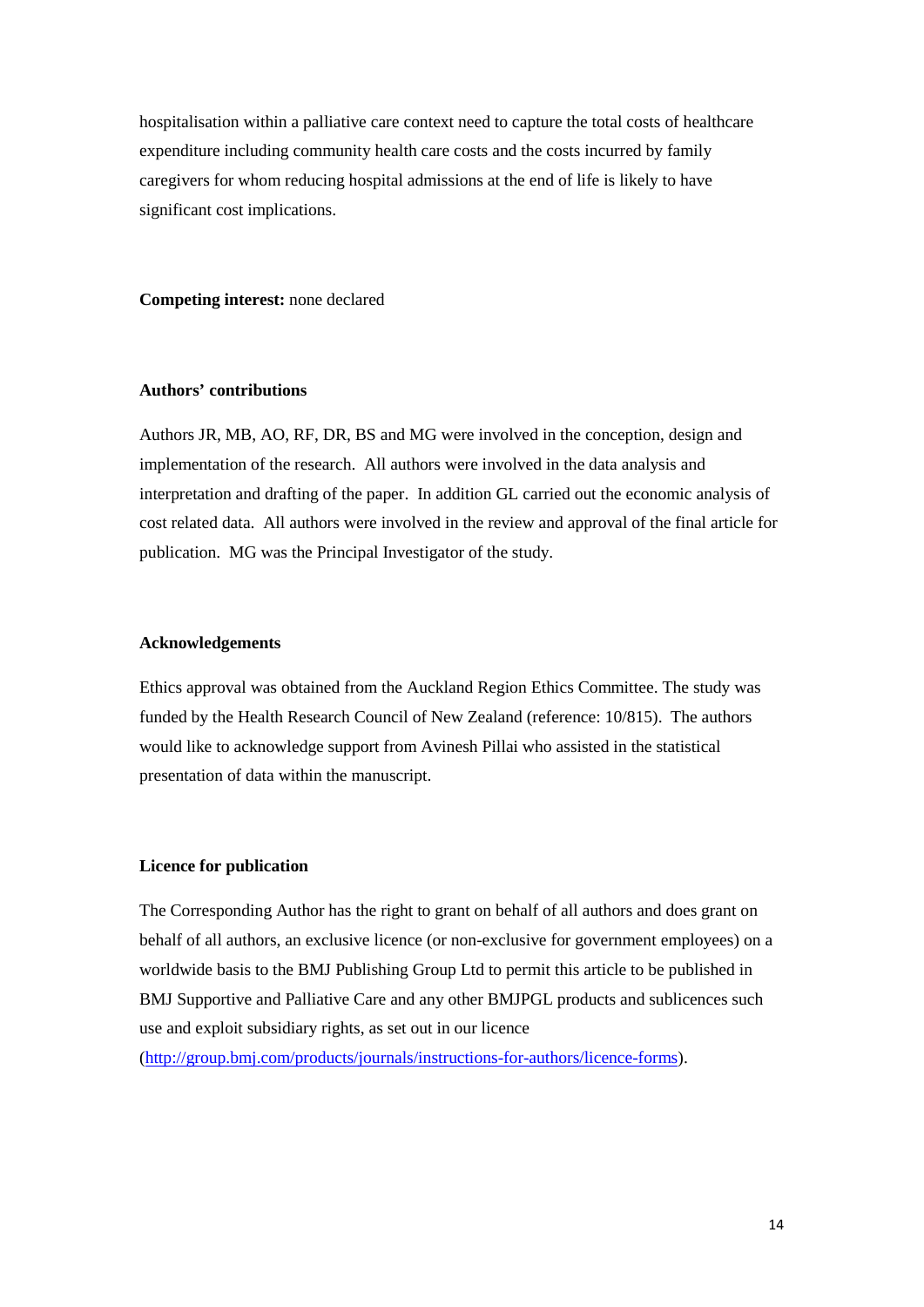hospitalisation within a palliative care context need to capture the total costs of healthcare expenditure including community health care costs and the costs incurred by family caregivers for whom reducing hospital admissions at the end of life is likely to have significant cost implications.

**Competing interest:** none declared

#### **Authors' contributions**

Authors JR, MB, AO, RF, DR, BS and MG were involved in the conception, design and implementation of the research. All authors were involved in the data analysis and interpretation and drafting of the paper. In addition GL carried out the economic analysis of cost related data. All authors were involved in the review and approval of the final article for publication. MG was the Principal Investigator of the study.

#### **Acknowledgements**

Ethics approval was obtained from the Auckland Region Ethics Committee. The study was funded by the Health Research Council of New Zealand (reference: 10/815). The authors would like to acknowledge support from Avinesh Pillai who assisted in the statistical presentation of data within the manuscript.

#### **Licence for publication**

The Corresponding Author has the right to grant on behalf of all authors and does grant on behalf of all authors, an exclusive licence (or non-exclusive for government employees) on a worldwide basis to the BMJ Publishing Group Ltd to permit this article to be published in BMJ Supportive and Palliative Care and any other BMJPGL products and sublicences such use and exploit subsidiary rights, as set out in our licence

[\(http://group.bmj.com/products/journals/instructions-for-authors/licence-forms\)](http://group.bmj.com/products/journals/instructions-for-authors/licence-forms).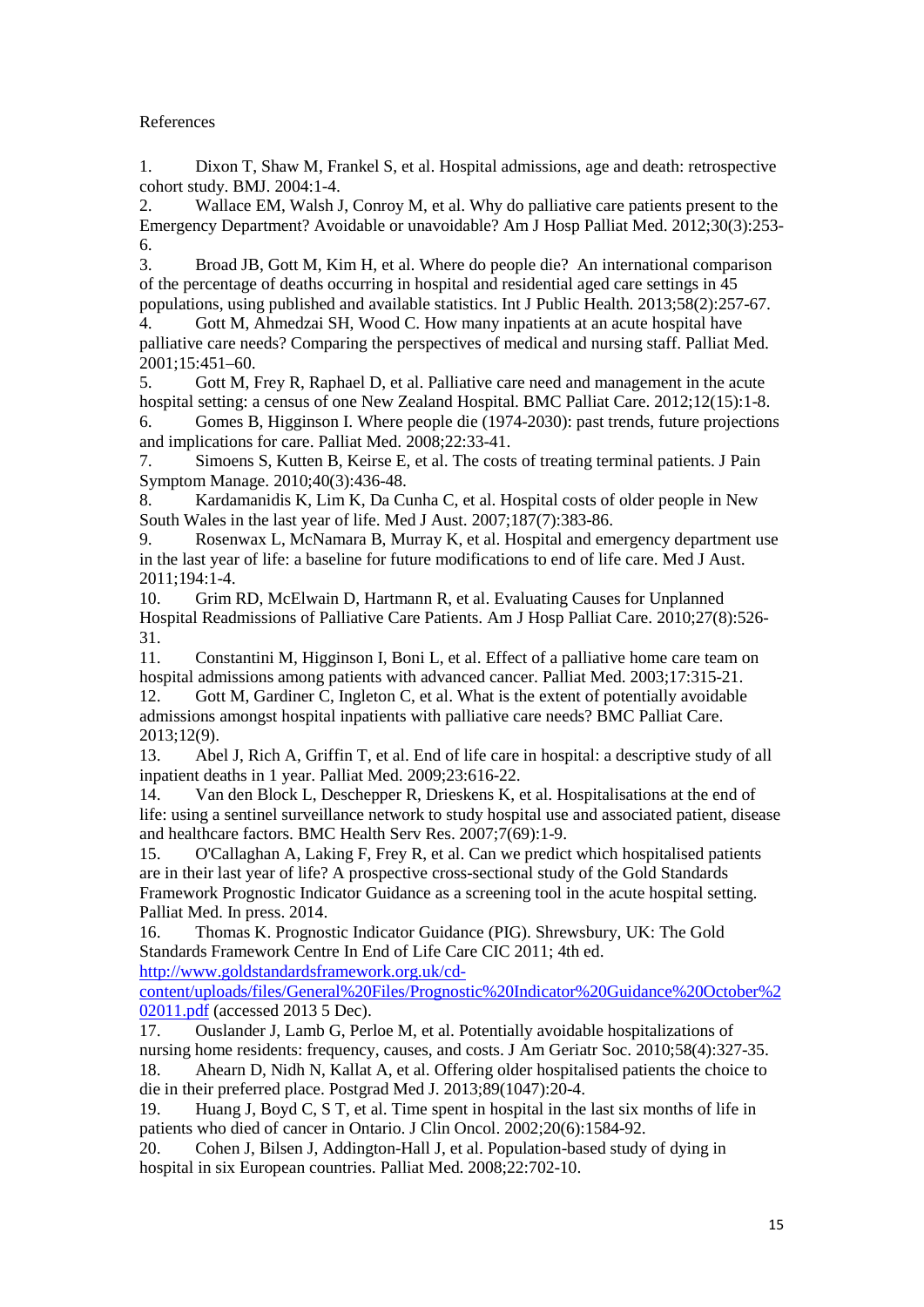# References

<span id="page-15-0"></span>1. Dixon T, Shaw M, Frankel S, et al. Hospital admissions, age and death: retrospective cohort study. BMJ. 2004:1-4.

<span id="page-15-1"></span>2. Wallace EM, Walsh J, Conroy M, et al. Why do palliative care patients present to the Emergency Department? Avoidable or unavoidable? Am J Hosp Palliat Med. 2012;30(3):253- 6.

<span id="page-15-2"></span>3. Broad JB, Gott M, Kim H, et al. Where do people die? An international comparison of the percentage of deaths occurring in hospital and residential aged care settings in 45 populations, using published and available statistics. Int J Public Health. 2013;58(2):257-67.

<span id="page-15-3"></span>4. Gott M, Ahmedzai SH, Wood C. How many inpatients at an acute hospital have palliative care needs? Comparing the perspectives of medical and nursing staff. Palliat Med. 2001;15:451–60.

<span id="page-15-4"></span>5. Gott M, Frey R, Raphael D, et al. Palliative care need and management in the acute hospital setting: a census of one New Zealand Hospital. BMC Palliat Care. 2012;12(15):1-8.

<span id="page-15-5"></span>6. Gomes B, Higginson I. Where people die (1974-2030): past trends, future projections and implications for care. Palliat Med. 2008;22:33-41.

<span id="page-15-6"></span>7. Simoens S, Kutten B, Keirse E, et al. The costs of treating terminal patients. J Pain Symptom Manage. 2010;40(3):436-48.

<span id="page-15-7"></span>8. Kardamanidis K, Lim K, Da Cunha C, et al. Hospital costs of older people in New South Wales in the last year of life. Med J Aust. 2007;187(7):383-86.

<span id="page-15-8"></span>9. Rosenwax L, McNamara B, Murray K, et al. Hospital and emergency department use in the last year of life: a baseline for future modifications to end of life care. Med J Aust. 2011;194:1-4.

<span id="page-15-9"></span>10. Grim RD, McElwain D, Hartmann R, et al. Evaluating Causes for Unplanned Hospital Readmissions of Palliative Care Patients. Am J Hosp Palliat Care. 2010;27(8):526- 31.

<span id="page-15-10"></span>11. Constantini M, Higginson I, Boni L, et al. Effect of a palliative home care team on hospital admissions among patients with advanced cancer. Palliat Med. 2003;17:315-21.

<span id="page-15-11"></span>12. Gott M, Gardiner C, Ingleton C, et al. What is the extent of potentially avoidable admissions amongst hospital inpatients with palliative care needs? BMC Palliat Care. 2013;12(9).

<span id="page-15-12"></span>13. Abel J, Rich A, Griffin T, et al. End of life care in hospital: a descriptive study of all inpatient deaths in 1 year. Palliat Med. 2009;23:616-22.

<span id="page-15-13"></span>14. Van den Block L, Deschepper R, Drieskens K, et al. Hospitalisations at the end of life: using a sentinel surveillance network to study hospital use and associated patient, disease and healthcare factors. BMC Health Serv Res. 2007;7(69):1-9.

<span id="page-15-14"></span>15. O'Callaghan A, Laking F, Frey R, et al. Can we predict which hospitalised patients are in their last year of life? A prospective cross-sectional study of the Gold Standards Framework Prognostic Indicator Guidance as a screening tool in the acute hospital setting. Palliat Med. In press. 2014.

<span id="page-15-15"></span>16. Thomas K. Prognostic Indicator Guidance (PIG). Shrewsbury, UK: The Gold Standards Framework Centre In End of Life Care CIC 2011; 4th ed. [http://www.goldstandardsframework.org.uk/cd-](http://www.goldstandardsframework.org.uk/cd-content/uploads/files/General%20Files/Prognostic%20Indicator%20Guidance%20October%202011.pdf)

[content/uploads/files/General%20Files/Prognostic%20Indicator%20Guidance%20October%2](http://www.goldstandardsframework.org.uk/cd-content/uploads/files/General%20Files/Prognostic%20Indicator%20Guidance%20October%202011.pdf) [02011.pdf](http://www.goldstandardsframework.org.uk/cd-content/uploads/files/General%20Files/Prognostic%20Indicator%20Guidance%20October%202011.pdf) (accessed 2013 5 Dec).

<span id="page-15-16"></span>17. Ouslander J, Lamb G, Perloe M, et al. Potentially avoidable hospitalizations of nursing home residents: frequency, causes, and costs. J Am Geriatr Soc. 2010;58(4):327-35.

<span id="page-15-17"></span>18. Ahearn D, Nidh N, Kallat A, et al. Offering older hospitalised patients the choice to die in their preferred place. Postgrad Med J. 2013;89(1047):20-4.

<span id="page-15-18"></span>19. Huang J, Boyd C, S T, et al. Time spent in hospital in the last six months of life in patients who died of cancer in Ontario. J Clin Oncol. 2002;20(6):1584-92.

<span id="page-15-19"></span>20. Cohen J, Bilsen J, Addington-Hall J, et al. Population-based study of dying in hospital in six European countries. Palliat Med. 2008;22:702-10.